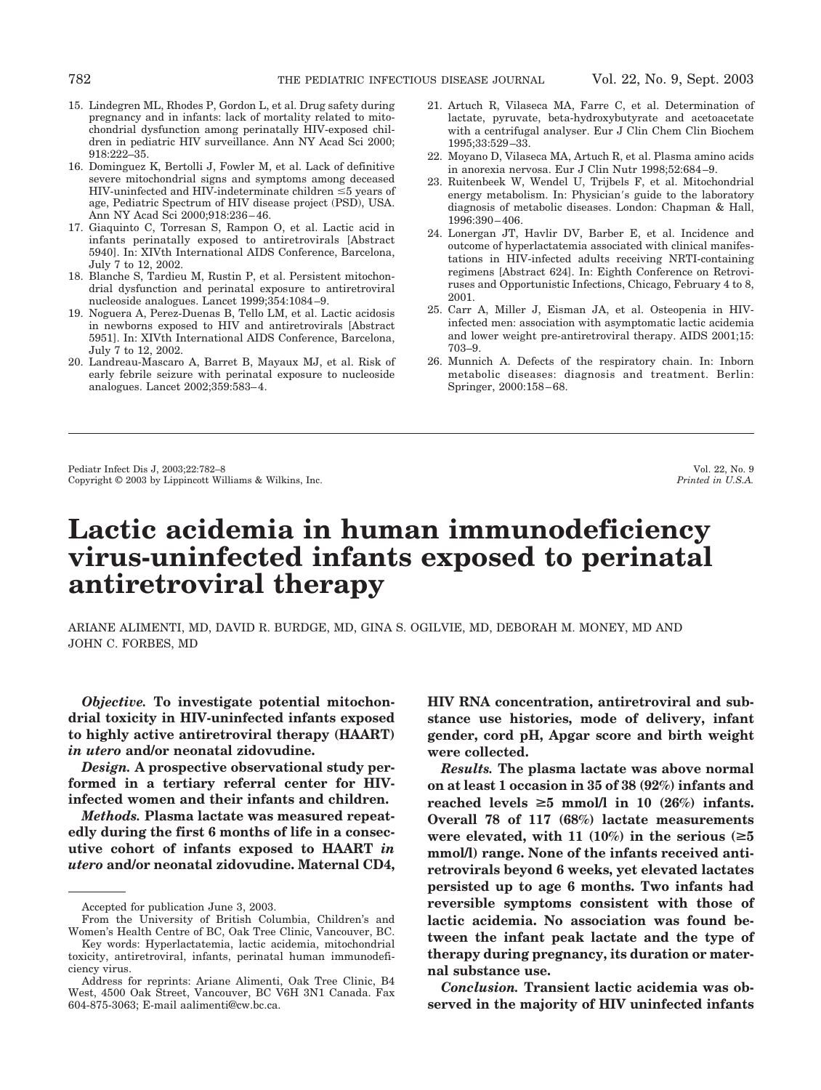- 15. Lindegren ML, Rhodes P, Gordon L, et al. Drug safety during pregnancy and in infants: lack of mortality related to mitochondrial dysfunction among perinatally HIV-exposed children in pediatric HIV surveillance. Ann NY Acad Sci 2000; 918:222–35.
- 16. Dominguez K, Bertolli J, Fowler M, et al. Lack of definitive severe mitochondrial signs and symptoms among deceased  $HIV$ -uninfected and  $HIV$ -indeterminate children  $\leq 5$  years of age, Pediatric Spectrum of HIV disease project (PSD), USA. Ann NY Acad Sci 2000;918:236–46.
- 17. Giaquinto C, Torresan S, Rampon O, et al. Lactic acid in infants perinatally exposed to antiretrovirals [Abstract 5940]. In: XIVth International AIDS Conference, Barcelona, July 7 to 12, 2002.
- 18. Blanche S, Tardieu M, Rustin P, et al. Persistent mitochondrial dysfunction and perinatal exposure to antiretroviral nucleoside analogues. Lancet 1999;354:1084–9.
- 19. Noguera A, Perez-Duenas B, Tello LM, et al. Lactic acidosis in newborns exposed to HIV and antiretrovirals [Abstract 5951]. In: XIVth International AIDS Conference, Barcelona, July 7 to 12, 2002.
- 20. Landreau-Mascaro A, Barret B, Mayaux MJ, et al. Risk of early febrile seizure with perinatal exposure to nucleoside analogues. Lancet 2002;359:583–4.
- 21. Artuch R, Vilaseca MA, Farre C, et al. Determination of lactate, pyruvate, beta-hydroxybutyrate and acetoacetate with a centrifugal analyser. Eur J Clin Chem Clin Biochem 1995;33:529–33.
- 22. Moyano D, Vilaseca MA, Artuch R, et al. Plasma amino acids in anorexia nervosa. Eur J Clin Nutr 1998;52:684–9.
- 23. Ruitenbeek W, Wendel U, Trijbels F, et al. Mitochondrial energy metabolism. In: Physician's guide to the laboratory diagnosis of metabolic diseases. London: Chapman & Hall, 1996:390–406.
- 24. Lonergan JT, Havlir DV, Barber E, et al. Incidence and outcome of hyperlactatemia associated with clinical manifestations in HIV-infected adults receiving NRTI-containing regimens [Abstract 624]. In: Eighth Conference on Retroviruses and Opportunistic Infections, Chicago, February 4 to 8, 2001.
- 25. Carr A, Miller J, Eisman JA, et al. Osteopenia in HIVinfected men: association with asymptomatic lactic acidemia and lower weight pre-antiretroviral therapy. AIDS 2001;15: 703–9.
- 26. Munnich A. Defects of the respiratory chain. In: Inborn metabolic diseases: diagnosis and treatment. Berlin: Springer, 2000:158–68.

Pediatr Infect Dis J, 2003;22:782–8 Vol. 22, No. 9 Copyright © 2003 by Lippincott Williams & Wilkins, Inc. *Printed in U.S.A.*

# **Lactic acidemia in human immunodeficiency virus-uninfected infants exposed to perinatal antiretroviral therapy**

ARIANE ALIMENTI, MD, DAVID R. BURDGE, MD, GINA S. OGILVIE, MD, DEBORAH M. MONEY, MD AND JOHN C. FORBES, MD

*Objective.* **To investigate potential mitochondrial toxicity in HIV-uninfected infants exposed to highly active antiretroviral therapy (HAART)** *in utero* **and/or neonatal zidovudine.**

*Design.* **A prospective observational study performed in a tertiary referral center for HIVinfected women and their infants and children.**

*Methods.* **Plasma lactate was measured repeatedly during the first 6 months of life in a consecutive cohort of infants exposed to HAART** *in utero* **and/or neonatal zidovudine. Maternal CD4,** **HIV RNA concentration, antiretroviral and substance use histories, mode of delivery, infant gender, cord pH, Apgar score and birth weight were collected.**

*Results.* **The plasma lactate was above normal on at least 1 occasion in 35 of 38 (92%) infants and** reached levels  $\geq 5$  mmol/l in 10 (26%) infants. **Overall 78 of 117 (68%) lactate measurements** were elevated, with 11 (10%) in the serious  $(\geq 5)$ **mmol/l) range. None of the infants received antiretrovirals beyond 6 weeks, yet elevated lactates persisted up to age 6 months. Two infants had reversible symptoms consistent with those of lactic acidemia. No association was found between the infant peak lactate and the type of therapy during pregnancy, its duration or maternal substance use.**

*Conclusion.* **Transient lactic acidemia was observed in the majority of HIV uninfected infants**

Accepted for publication June 3, 2003.

From the University of British Columbia, Children's and Women's Health Centre of BC, Oak Tree Clinic, Vancouver, BC.

Key words: Hyperlactatemia, lactic acidemia, mitochondrial toxicity, antiretroviral, infants, perinatal human immunodeficiency virus.

Address for reprints: Ariane Alimenti, Oak Tree Clinic, B4 West, 4500 Oak Street, Vancouver, BC V6H 3N1 Canada. Fax 604-875-3063; E-mail aalimenti@cw.bc.ca.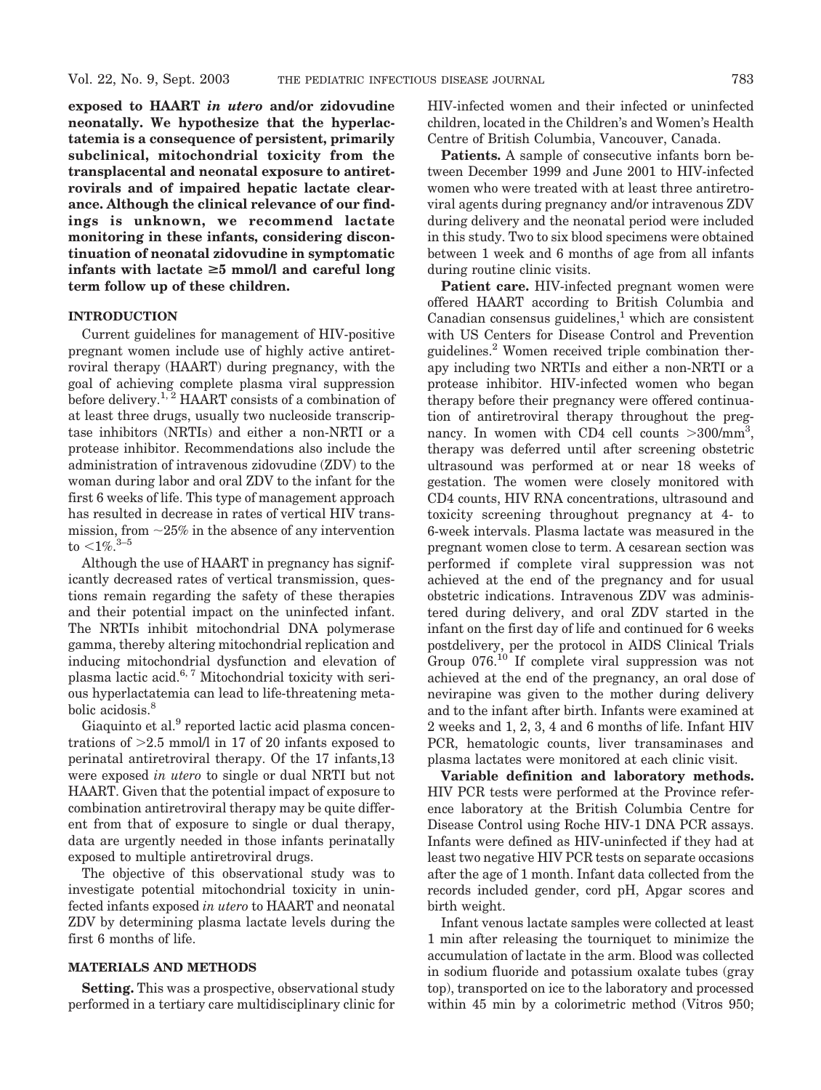**exposed to HAART** *in utero* **and/or zidovudine neonatally. We hypothesize that the hyperlactatemia is a consequence of persistent, primarily subclinical, mitochondrial toxicity from the transplacental and neonatal exposure to antiretrovirals and of impaired hepatic lactate clearance. Although the clinical relevance of our findings is unknown, we recommend lactate monitoring in these infants, considering discontinuation of neonatal zidovudine in symptomatic** infants with lactate  $\geq 5$  mmol/l and careful long **term follow up of these children.**

### **INTRODUCTION**

Current guidelines for management of HIV-positive pregnant women include use of highly active antiretroviral therapy (HAART) during pregnancy, with the goal of achieving complete plasma viral suppression before delivery.<sup>1, 2</sup> HAART consists of a combination of at least three drugs, usually two nucleoside transcriptase inhibitors (NRTIs) and either a non-NRTI or a protease inhibitor. Recommendations also include the administration of intravenous zidovudine (ZDV) to the woman during labor and oral ZDV to the infant for the first 6 weeks of life. This type of management approach has resulted in decrease in rates of vertical HIV transmission, from  $\sim$ 25% in the absence of any intervention to  $\leq 1\%$ .  $3-5$ 

Although the use of HAART in pregnancy has significantly decreased rates of vertical transmission, questions remain regarding the safety of these therapies and their potential impact on the uninfected infant. The NRTIs inhibit mitochondrial DNA polymerase gamma, thereby altering mitochondrial replication and inducing mitochondrial dysfunction and elevation of plasma lactic acid.6, 7 Mitochondrial toxicity with serious hyperlactatemia can lead to life-threatening metabolic acidosis.<sup>8</sup>

Giaquinto et al.<sup>9</sup> reported lactic acid plasma concentrations of  $>2.5$  mmol/l in 17 of 20 infants exposed to perinatal antiretroviral therapy. Of the 17 infants,13 were exposed *in utero* to single or dual NRTI but not HAART. Given that the potential impact of exposure to combination antiretroviral therapy may be quite different from that of exposure to single or dual therapy, data are urgently needed in those infants perinatally exposed to multiple antiretroviral drugs.

The objective of this observational study was to investigate potential mitochondrial toxicity in uninfected infants exposed *in utero* to HAART and neonatal ZDV by determining plasma lactate levels during the first 6 months of life.

### **MATERIALS AND METHODS**

**Setting.** This was a prospective, observational study performed in a tertiary care multidisciplinary clinic for HIV-infected women and their infected or uninfected children, located in the Children's and Women's Health Centre of British Columbia, Vancouver, Canada.

**Patients.** A sample of consecutive infants born between December 1999 and June 2001 to HIV-infected women who were treated with at least three antiretroviral agents during pregnancy and/or intravenous ZDV during delivery and the neonatal period were included in this study. Two to six blood specimens were obtained between 1 week and 6 months of age from all infants during routine clinic visits.

**Patient care.** HIV-infected pregnant women were offered HAART according to British Columbia and Canadian consensus guidelines, $<sup>1</sup>$  which are consistent</sup> with US Centers for Disease Control and Prevention guidelines.2 Women received triple combination therapy including two NRTIs and either a non-NRTI or a protease inhibitor. HIV-infected women who began therapy before their pregnancy were offered continuation of antiretroviral therapy throughout the pregnancy. In women with CD4 cell counts  $>$ 300/mm<sup>3</sup>, therapy was deferred until after screening obstetric ultrasound was performed at or near 18 weeks of gestation. The women were closely monitored with CD4 counts, HIV RNA concentrations, ultrasound and toxicity screening throughout pregnancy at 4- to 6-week intervals. Plasma lactate was measured in the pregnant women close to term. A cesarean section was performed if complete viral suppression was not achieved at the end of the pregnancy and for usual obstetric indications. Intravenous ZDV was administered during delivery, and oral ZDV started in the infant on the first day of life and continued for 6 weeks postdelivery, per the protocol in AIDS Clinical Trials Group 076.10 If complete viral suppression was not achieved at the end of the pregnancy, an oral dose of nevirapine was given to the mother during delivery and to the infant after birth. Infants were examined at 2 weeks and 1, 2, 3, 4 and 6 months of life. Infant HIV PCR, hematologic counts, liver transaminases and plasma lactates were monitored at each clinic visit.

**Variable definition and laboratory methods.** HIV PCR tests were performed at the Province reference laboratory at the British Columbia Centre for Disease Control using Roche HIV-1 DNA PCR assays. Infants were defined as HIV-uninfected if they had at least two negative HIV PCR tests on separate occasions after the age of 1 month. Infant data collected from the records included gender, cord pH, Apgar scores and birth weight.

Infant venous lactate samples were collected at least 1 min after releasing the tourniquet to minimize the accumulation of lactate in the arm. Blood was collected in sodium fluoride and potassium oxalate tubes (gray top), transported on ice to the laboratory and processed within 45 min by a colorimetric method (Vitros 950;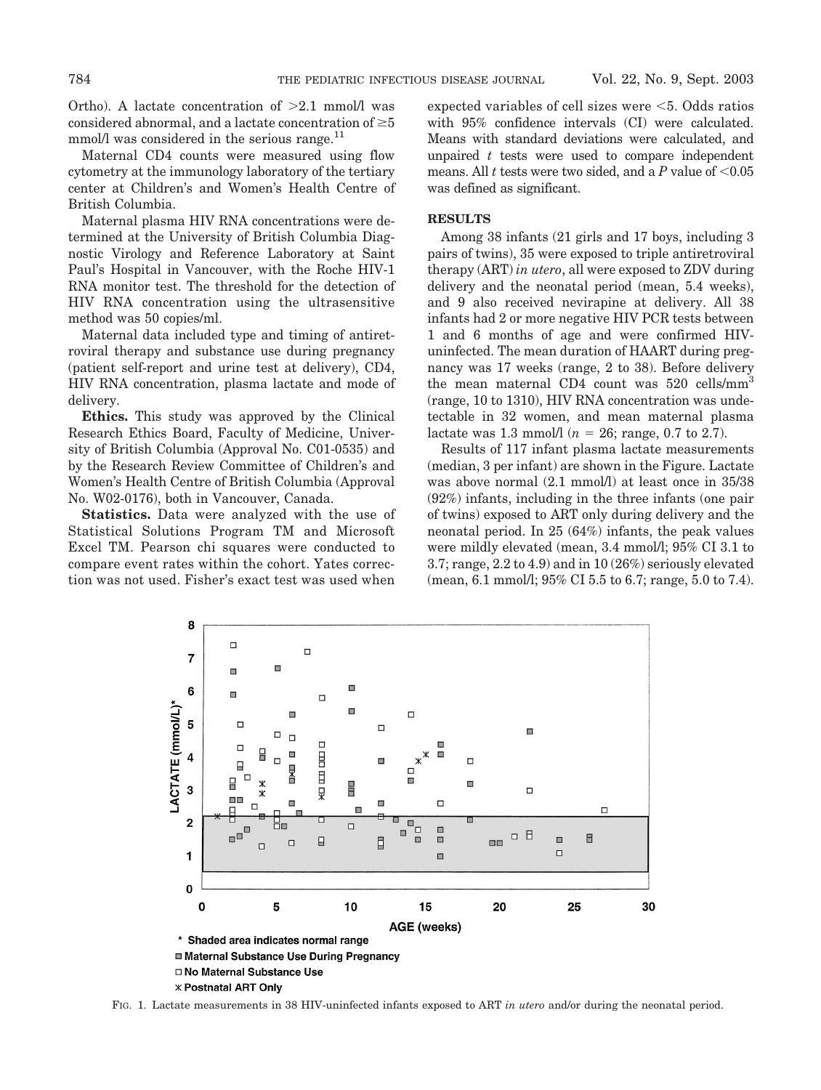Ortho). A lactate concentration of  $>2.1$  mmol/l was considered abnormal, and a lactate concentration of  $\geq 5$ mmol/l was considered in the serious range. $^{11}$ 

Maternal CD4 counts were measured using flow cytometry at the immunology laboratory of the tertiary center at Children's and Women's Health Centre of British Columbia.

Maternal plasma HIV RNA concentrations were determined at the University of British Columbia Diagnostic Virology and Reference Laboratory at Saint Paul's Hospital in Vancouver, with the Roche HIV-1 RNA monitor test. The threshold for the detection of HIV RNA concentration using the ultrasensitive method was 50 copies/ml.

Maternal data included type and timing of antiretroviral therapy and substance use during pregnancy (patient self-report and urine test at delivery), CD4, HIV RNA concentration, plasma lactate and mode of delivery.

**Ethics.** This study was approved by the Clinical Research Ethics Board, Faculty of Medicine, University of British Columbia (Approval No. C01-0535) and by the Research Review Committee of Children's and Women's Health Centre of British Columbia (Approval No. W02-0176), both in Vancouver, Canada.

**Statistics.** Data were analyzed with the use of Statistical Solutions Program TM and Microsoft Excel TM. Pearson chi squares were conducted to compare event rates within the cohort. Yates correction was not used. Fisher's exact test was used when

 $\Box$ 

п

O

 $\Box$ 

 $\Box$ 

 $\Box$ 

 $\blacksquare$ 

m

 $\Box$ 

 $\Box$ 

П

8

 $\overline{7}$ 

6

5

expected variables of cell sizes were  $<$  5. Odds ratios with 95% confidence intervals (CI) were calculated. Means with standard deviations were calculated, and unpaired *t* tests were used to compare independent means. All  $t$  tests were two sided, and a  $P$  value of  $\leq 0.05$ was defined as significant.

### **RESULTS**

Among 38 infants (21 girls and 17 boys, including 3 pairs of twins), 35 were exposed to triple antiretroviral therapy (ART) *in utero*, all were exposed to ZDV during delivery and the neonatal period (mean, 5.4 weeks), and 9 also received nevirapine at delivery. All 38 infants had 2 or more negative HIV PCR tests between 1 and 6 months of age and were confirmed HIVuninfected. The mean duration of HAART during pregnancy was 17 weeks (range, 2 to 38). Before delivery the mean maternal CD4 count was 520 cells/mm<sup>3</sup> (range, 10 to 1310), HIV RNA concentration was undetectable in 32 women, and mean maternal plasma lactate was 1.3 mmol/l  $(n = 26; \text{range}, 0.7 \text{ to } 2.7)$ .

Results of 117 infant plasma lactate measurements (median, 3 per infant) are shown in the Figure. Lactate was above normal (2.1 mmol/l) at least once in 35/38 (92%) infants, including in the three infants (one pair of twins) exposed to ART only during delivery and the neonatal period. In 25 (64%) infants, the peak values were mildly elevated (mean, 3.4 mmol/l; 95% CI 3.1 to 3.7; range, 2.2 to 4.9) and in 10 (26%) seriously elevated (mean, 6.1 mmol/l; 95% CI 5.5 to 6.7; range, 5.0 to 7.4).



 $\Box$ 

FIG. 1. Lactate measurements in 38 HIV-uninfected infants exposed to ART *in utero* and/or during the neonatal period.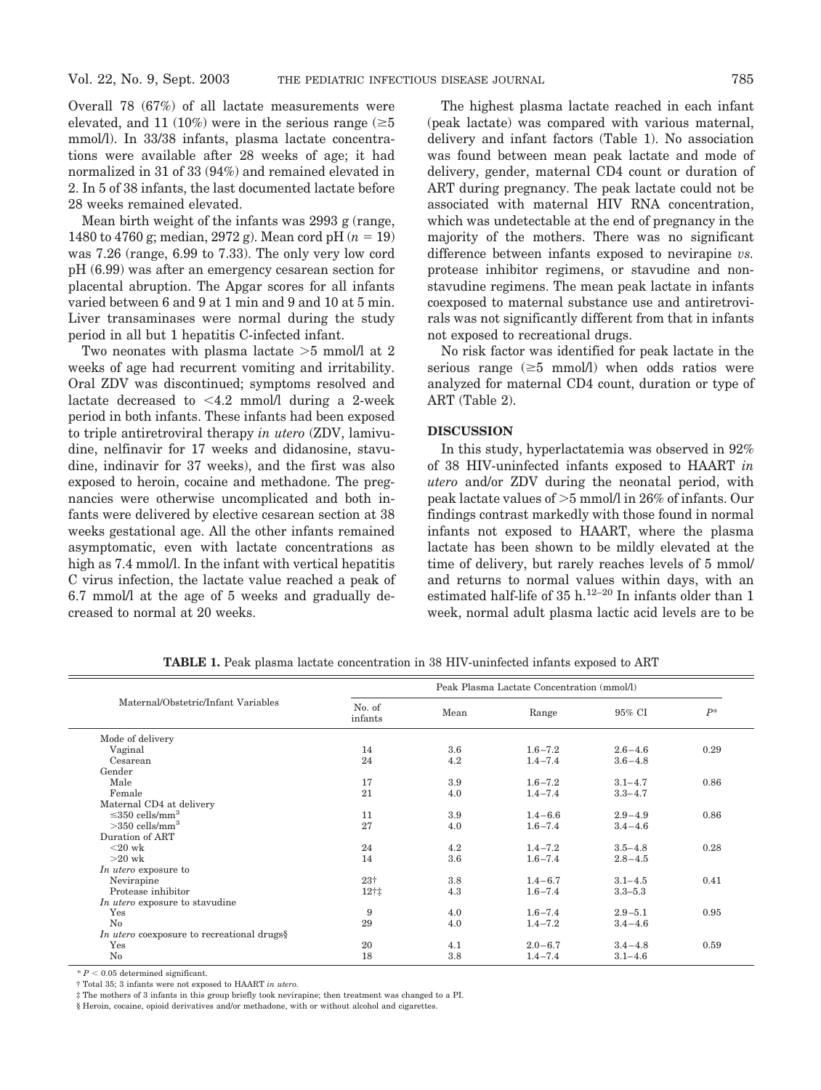Overall 78 (67%) of all lactate measurements were elevated, and 11 (10%) were in the serious range ( $\geq 5$ ) mmol/l). In 33/38 infants, plasma lactate concentrations were available after 28 weeks of age; it had normalized in 31 of 33 (94%) and remained elevated in 2. In 5 of 38 infants, the last documented lactate before 28 weeks remained elevated.

Mean birth weight of the infants was 2993 g (range, 1480 to 4760 g; median, 2972 g). Mean cord pH  $(n = 19)$ was 7.26 (range, 6.99 to 7.33). The only very low cord pH (6.99) was after an emergency cesarean section for placental abruption. The Apgar scores for all infants varied between 6 and 9 at 1 min and 9 and 10 at 5 min. Liver transaminases were normal during the study period in all but 1 hepatitis C-infected infant.

Two neonates with plasma lactate  $>5$  mmol/l at 2 weeks of age had recurrent vomiting and irritability. Oral ZDV was discontinued; symptoms resolved and lactate decreased to  $\leq 4.2$  mmol/l during a 2-week period in both infants. These infants had been exposed to triple antiretroviral therapy *in utero* (ZDV, lamivudine, nelfinavir for 17 weeks and didanosine, stavudine, indinavir for 37 weeks), and the first was also exposed to heroin, cocaine and methadone. The pregnancies were otherwise uncomplicated and both infants were delivered by elective cesarean section at 38 weeks gestational age. All the other infants remained asymptomatic, even with lactate concentrations as high as 7.4 mmol/l. In the infant with vertical hepatitis C virus infection, the lactate value reached a peak of 6.7 mmol/l at the age of 5 weeks and gradually decreased to normal at 20 weeks.

The highest plasma lactate reached in each infant (peak lactate) was compared with various maternal, delivery and infant factors (Table 1). No association was found between mean peak lactate and mode of delivery, gender, maternal CD4 count or duration of ART during pregnancy. The peak lactate could not be associated with maternal HIV RNA concentration, which was undetectable at the end of pregnancy in the majority of the mothers. There was no significant difference between infants exposed to nevirapine *vs.* protease inhibitor regimens, or stavudine and nonstavudine regimens. The mean peak lactate in infants coexposed to maternal substance use and antiretrovirals was not significantly different from that in infants not exposed to recreational drugs.

No risk factor was identified for peak lactate in the serious range  $(\geq 5 \text{ mmol/l})$  when odds ratios were analyzed for maternal CD4 count, duration or type of ART (Table 2).

## **DISCUSSION**

In this study, hyperlactatemia was observed in 92% of 38 HIV-uninfected infants exposed to HAART *in utero* and/or ZDV during the neonatal period, with peak lactate values of  $>5$  mmol/l in 26% of infants. Our findings contrast markedly with those found in normal infants not exposed to HAART, where the plasma lactate has been shown to be mildly elevated at the time of delivery, but rarely reaches levels of 5 mmol/ and returns to normal values within days, with an estimated half-life of 35 h.<sup>12–20</sup> In infants older than 1 week, normal adult plasma lactic acid levels are to be

| Maternal/Obstetric/Infant Variables        | Peak Plasma Lactate Concentration (mmol/l) |      |             |             |       |  |
|--------------------------------------------|--------------------------------------------|------|-------------|-------------|-------|--|
|                                            | No. of<br>infants                          | Mean | Range       | 95% CI      | $P^*$ |  |
| Mode of delivery                           |                                            |      |             |             |       |  |
| Vaginal                                    | 14                                         | 3.6  | $1.6 - 7.2$ | $2.6 - 4.6$ | 0.29  |  |
| Cesarean                                   | 24                                         | 4.2  | $1.4 - 7.4$ | $3.6 - 4.8$ |       |  |
| Gender                                     |                                            |      |             |             |       |  |
| Male                                       | 17                                         | 3.9  | $1.6 - 7.2$ | $3.1 - 4.7$ | 0.86  |  |
| Female                                     | 21                                         | 4.0  | $1.4 - 7.4$ | $3.3 - 4.7$ |       |  |
| Maternal CD4 at delivery                   |                                            |      |             |             |       |  |
| $\leq$ 350 cells/mm <sup>3</sup>           | 11                                         | 3.9  | $1.4 - 6.6$ | $2.9 - 4.9$ | 0.86  |  |
| $>350$ cells/mm <sup>3</sup>               | 27                                         | 4.0  | $1.6 - 7.4$ | $3.4 - 4.6$ |       |  |
| Duration of ART                            |                                            |      |             |             |       |  |
| $< 20$ wk                                  | 24                                         | 4.2  | $1.4 - 7.2$ | $3.5 - 4.8$ | 0.28  |  |
| $>20$ wk                                   | 14                                         | 3.6  | $1.6 - 7.4$ | $2.8 - 4.5$ |       |  |
| In utero exposure to                       |                                            |      |             |             |       |  |
| Nevirapine                                 | 23 <sup>†</sup>                            | 3.8  | $1.4 - 6.7$ | $3.1 - 4.5$ | 0.41  |  |
| Protease inhibitor                         | 12†‡                                       | 4.3  | $1.6 - 7.4$ | $3.3 - 5.3$ |       |  |
| In utero exposure to stavudine             |                                            |      |             |             |       |  |
| Yes                                        | 9                                          | 4.0  | $1.6 - 7.4$ | $2.9 - 5.1$ | 0.95  |  |
| $\rm No$                                   | 29                                         | 4.0  | $1.4 - 7.2$ | $3.4 - 4.6$ |       |  |
| In utero coexposure to recreational drugs§ |                                            |      |             |             |       |  |
| Yes                                        | 20                                         | 4.1  | $2.0 - 6.7$ | $3.4 - 4.8$ | 0.59  |  |
| $\rm No$                                   | 18                                         | 3.8  | $1.4 - 7.4$ | $3.1 - 4.6$ |       |  |

**TABLE 1.** Peak plasma lactate concentration in 38 HIV-uninfected infants exposed to ART

 $* \, P < 0.05$  determined significant.

† Total 35; 3 infants were not exposed to HAART *in utero.*

‡ The mothers of 3 infants in this group briefly took nevirapine; then treatment was changed to a PI.

§ Heroin, cocaine, opioid derivatives and/or methadone, with or without alcohol and cigarettes.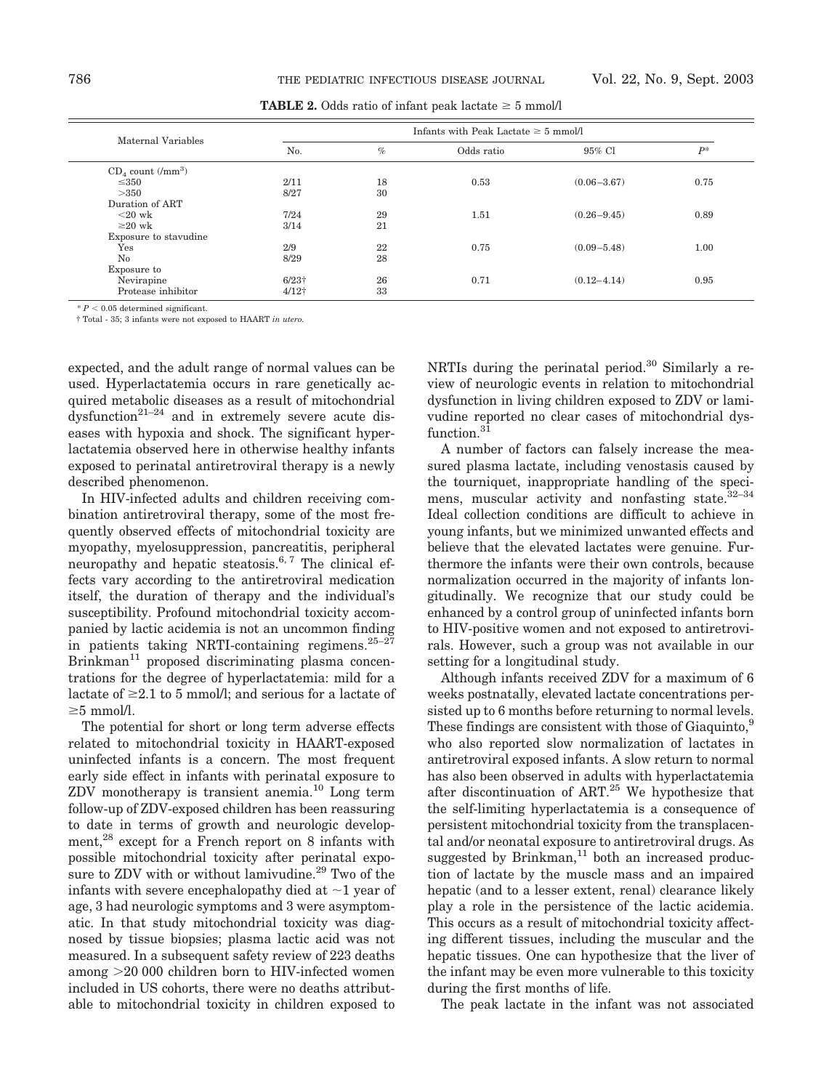|                              | Infants with Peak Lactate $\geq 5$ mmol/ |      |            |                 |       |  |  |
|------------------------------|------------------------------------------|------|------------|-----------------|-------|--|--|
| Maternal Variables           | No.                                      | $\%$ | Odds ratio | 95% Cl          | $P^*$ |  |  |
| $CD_4$ count $(\text{mm}^3)$ |                                          |      |            |                 |       |  |  |
| $\leq 350$                   | 2/11                                     | 18   | 0.53       | $(0.06 - 3.67)$ | 0.75  |  |  |
| >350                         | 8/27                                     | 30   |            |                 |       |  |  |
| Duration of ART              |                                          |      |            |                 |       |  |  |
| $<20$ wk                     | 7/24                                     | 29   | 1.51       | $(0.26 - 9.45)$ | 0.89  |  |  |
| $\geq$ 20 wk                 | 3/14                                     | 21   |            |                 |       |  |  |
| Exposure to stavudine        |                                          |      |            |                 |       |  |  |
| Yes                          | 2/9                                      | 22   | 0.75       | $(0.09 - 5.48)$ | 1.00  |  |  |
| No                           | 8/29                                     | 28   |            |                 |       |  |  |
| Exposure to                  |                                          |      |            |                 |       |  |  |
| Nevirapine                   | $6/23+$                                  | 26   | 0.71       | $(0.12 - 4.14)$ | 0.95  |  |  |
| Protease inhibitor           | $4/12$ <sup>+</sup>                      | 33   |            |                 |       |  |  |

**TABLE 2.** Odds ratio of infant peak lactate  $\geq 5$  mmol/l

 $* P < 0.05$  determined significant.

† Total - 35; 3 infants were not exposed to HAART *in utero.*

expected, and the adult range of normal values can be used. Hyperlactatemia occurs in rare genetically acquired metabolic diseases as a result of mitochondrial  $dys function<sup>21-24</sup>$  and in extremely severe acute diseases with hypoxia and shock. The significant hyperlactatemia observed here in otherwise healthy infants exposed to perinatal antiretroviral therapy is a newly described phenomenon.

In HIV-infected adults and children receiving combination antiretroviral therapy, some of the most frequently observed effects of mitochondrial toxicity are myopathy, myelosuppression, pancreatitis, peripheral neuropathy and hepatic steatosis.<sup>6, 7</sup> The clinical effects vary according to the antiretroviral medication itself, the duration of therapy and the individual's susceptibility. Profound mitochondrial toxicity accompanied by lactic acidemia is not an uncommon finding in patients taking NRTI-containing regimens.  $25-27$ Brinkman<sup>11</sup> proposed discriminating plasma concentrations for the degree of hyperlactatemia: mild for a lactate of  $\geq$ 2.1 to 5 mmol/l; and serious for a lactate of  $\geq 5$  mmol/l.

The potential for short or long term adverse effects related to mitochondrial toxicity in HAART-exposed uninfected infants is a concern. The most frequent early side effect in infants with perinatal exposure to ZDV monotherapy is transient anemia.10 Long term follow-up of ZDV-exposed children has been reassuring to date in terms of growth and neurologic development,<sup>28</sup> except for a French report on 8 infants with possible mitochondrial toxicity after perinatal exposure to ZDV with or without lamivudine.<sup>29</sup> Two of the infants with severe encephalopathy died at  $\sim$ 1 year of age, 3 had neurologic symptoms and 3 were asymptomatic. In that study mitochondrial toxicity was diagnosed by tissue biopsies; plasma lactic acid was not measured. In a subsequent safety review of 223 deaths among 20 000 children born to HIV-infected women included in US cohorts, there were no deaths attributable to mitochondrial toxicity in children exposed to

NRTIs during the perinatal period.30 Similarly a review of neurologic events in relation to mitochondrial dysfunction in living children exposed to ZDV or lamivudine reported no clear cases of mitochondrial dysfunction.<sup>31</sup>

A number of factors can falsely increase the measured plasma lactate, including venostasis caused by the tourniquet, inappropriate handling of the specimens, muscular activity and nonfasting state. $32-34$ Ideal collection conditions are difficult to achieve in young infants, but we minimized unwanted effects and believe that the elevated lactates were genuine. Furthermore the infants were their own controls, because normalization occurred in the majority of infants longitudinally. We recognize that our study could be enhanced by a control group of uninfected infants born to HIV-positive women and not exposed to antiretrovirals. However, such a group was not available in our setting for a longitudinal study.

Although infants received ZDV for a maximum of 6 weeks postnatally, elevated lactate concentrations persisted up to 6 months before returning to normal levels. These findings are consistent with those of Giaquinto,<sup>9</sup> who also reported slow normalization of lactates in antiretroviral exposed infants. A slow return to normal has also been observed in adults with hyperlactatemia after discontinuation of ART.25 We hypothesize that the self-limiting hyperlactatemia is a consequence of persistent mitochondrial toxicity from the transplacental and/or neonatal exposure to antiretroviral drugs. As suggested by Brinkman, $11$  both an increased production of lactate by the muscle mass and an impaired hepatic (and to a lesser extent, renal) clearance likely play a role in the persistence of the lactic acidemia. This occurs as a result of mitochondrial toxicity affecting different tissues, including the muscular and the hepatic tissues. One can hypothesize that the liver of the infant may be even more vulnerable to this toxicity during the first months of life.

The peak lactate in the infant was not associated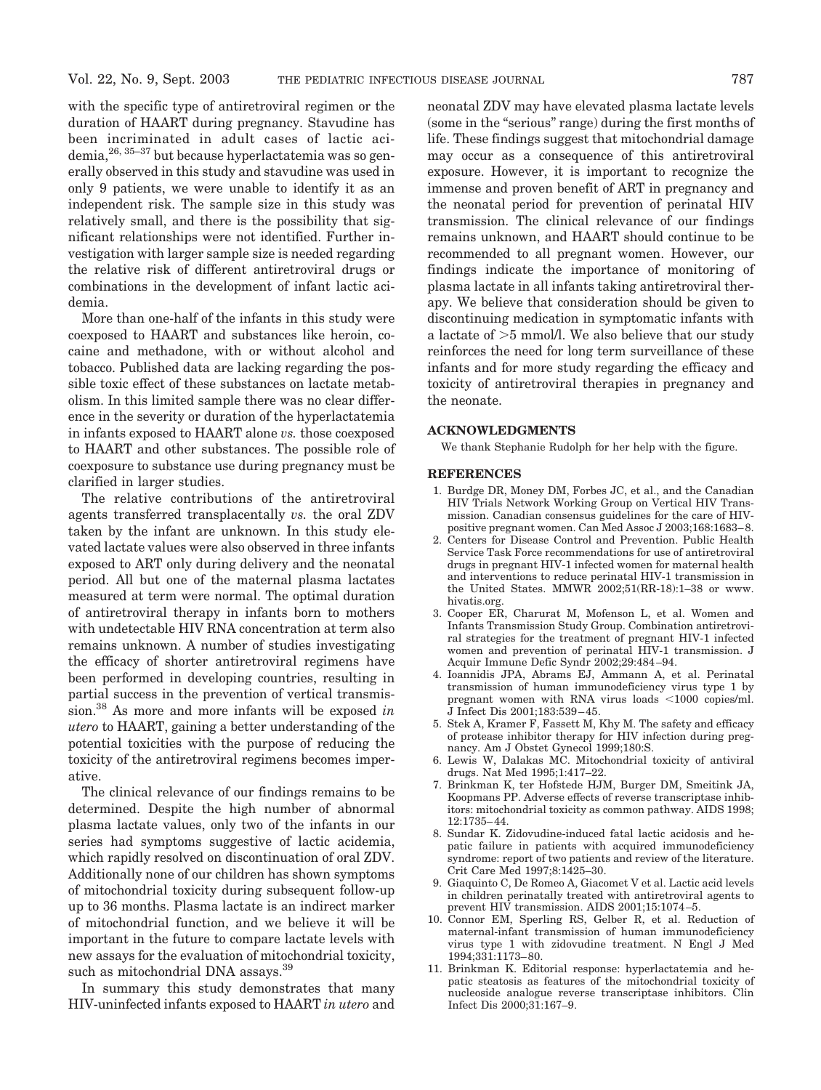with the specific type of antiretroviral regimen or the duration of HAART during pregnancy. Stavudine has been incriminated in adult cases of lactic aci $dtext{e}^{26, 35-37}$  but because hyperlactatemia was so generally observed in this study and stavudine was used in only 9 patients, we were unable to identify it as an independent risk. The sample size in this study was relatively small, and there is the possibility that significant relationships were not identified. Further investigation with larger sample size is needed regarding the relative risk of different antiretroviral drugs or combinations in the development of infant lactic acidemia.

More than one-half of the infants in this study were coexposed to HAART and substances like heroin, cocaine and methadone, with or without alcohol and tobacco. Published data are lacking regarding the possible toxic effect of these substances on lactate metabolism. In this limited sample there was no clear difference in the severity or duration of the hyperlactatemia in infants exposed to HAART alone *vs.* those coexposed to HAART and other substances. The possible role of coexposure to substance use during pregnancy must be clarified in larger studies.

The relative contributions of the antiretroviral agents transferred transplacentally *vs.* the oral ZDV taken by the infant are unknown. In this study elevated lactate values were also observed in three infants exposed to ART only during delivery and the neonatal period. All but one of the maternal plasma lactates measured at term were normal. The optimal duration of antiretroviral therapy in infants born to mothers with undetectable HIV RNA concentration at term also remains unknown. A number of studies investigating the efficacy of shorter antiretroviral regimens have been performed in developing countries, resulting in partial success in the prevention of vertical transmission.38 As more and more infants will be exposed *in utero* to HAART, gaining a better understanding of the potential toxicities with the purpose of reducing the toxicity of the antiretroviral regimens becomes imperative.

The clinical relevance of our findings remains to be determined. Despite the high number of abnormal plasma lactate values, only two of the infants in our series had symptoms suggestive of lactic acidemia, which rapidly resolved on discontinuation of oral ZDV. Additionally none of our children has shown symptoms of mitochondrial toxicity during subsequent follow-up up to 36 months. Plasma lactate is an indirect marker of mitochondrial function, and we believe it will be important in the future to compare lactate levels with new assays for the evaluation of mitochondrial toxicity, such as mitochondrial DNA assays.<sup>39</sup>

In summary this study demonstrates that many HIV-uninfected infants exposed to HAART *in utero* and

neonatal ZDV may have elevated plasma lactate levels (some in the "serious" range) during the first months of life. These findings suggest that mitochondrial damage may occur as a consequence of this antiretroviral exposure. However, it is important to recognize the immense and proven benefit of ART in pregnancy and the neonatal period for prevention of perinatal HIV transmission. The clinical relevance of our findings remains unknown, and HAART should continue to be recommended to all pregnant women. However, our findings indicate the importance of monitoring of plasma lactate in all infants taking antiretroviral therapy. We believe that consideration should be given to discontinuing medication in symptomatic infants with a lactate of  $>5$  mmol/l. We also believe that our study reinforces the need for long term surveillance of these infants and for more study regarding the efficacy and toxicity of antiretroviral therapies in pregnancy and the neonate.

### **ACKNOWLEDGMENTS**

We thank Stephanie Rudolph for her help with the figure.

#### **REFERENCES**

- 1. Burdge DR, Money DM, Forbes JC, et al., and the Canadian HIV Trials Network Working Group on Vertical HIV Transmission. Canadian consensus guidelines for the care of HIVpositive pregnant women. Can Med Assoc J 2003;168:1683–8.
- 2. Centers for Disease Control and Prevention. Public Health Service Task Force recommendations for use of antiretroviral drugs in pregnant HIV-1 infected women for maternal health and interventions to reduce perinatal HIV-1 transmission in the United States. MMWR 2002;51(RR-18):1–38 or www. hivatis.org.
- 3. Cooper ER, Charurat M, Mofenson L, et al. Women and Infants Transmission Study Group. Combination antiretroviral strategies for the treatment of pregnant HIV-1 infected women and prevention of perinatal HIV-1 transmission. J Acquir Immune Defic Syndr 2002;29:484–94.
- 4. Ioannidis JPA, Abrams EJ, Ammann A, et al. Perinatal transmission of human immunodeficiency virus type 1 by pregnant women with RNA virus loads  $\lt$ 1000 copies/ml. J Infect Dis 2001;183:539–45.
- 5. Stek A, Kramer F, Fassett M, Khy M. The safety and efficacy of protease inhibitor therapy for HIV infection during pregnancy. Am J Obstet Gynecol 1999;180:S.
- 6. Lewis W, Dalakas MC. Mitochondrial toxicity of antiviral drugs. Nat Med 1995;1:417–22.
- 7. Brinkman K, ter Hofstede HJM, Burger DM, Smeitink JA, Koopmans PP. Adverse effects of reverse transcriptase inhibitors: mitochondrial toxicity as common pathway. AIDS 1998; 12:1735–44.
- 8. Sundar K. Zidovudine-induced fatal lactic acidosis and hepatic failure in patients with acquired immunodeficiency syndrome: report of two patients and review of the literature. Crit Care Med 1997;8:1425–30.
- 9. Giaquinto C, De Romeo A, Giacomet V et al. Lactic acid levels in children perinatally treated with antiretroviral agents to prevent HIV transmission. AIDS 2001;15:1074–5.
- 10. Connor EM, Sperling RS, Gelber R, et al. Reduction of maternal-infant transmission of human immunodeficiency virus type 1 with zidovudine treatment. N Engl J Med 1994;331:1173–80.
- 11. Brinkman K. Editorial response: hyperlactatemia and hepatic steatosis as features of the mitochondrial toxicity of nucleoside analogue reverse transcriptase inhibitors. Clin Infect Dis 2000;31:167–9.